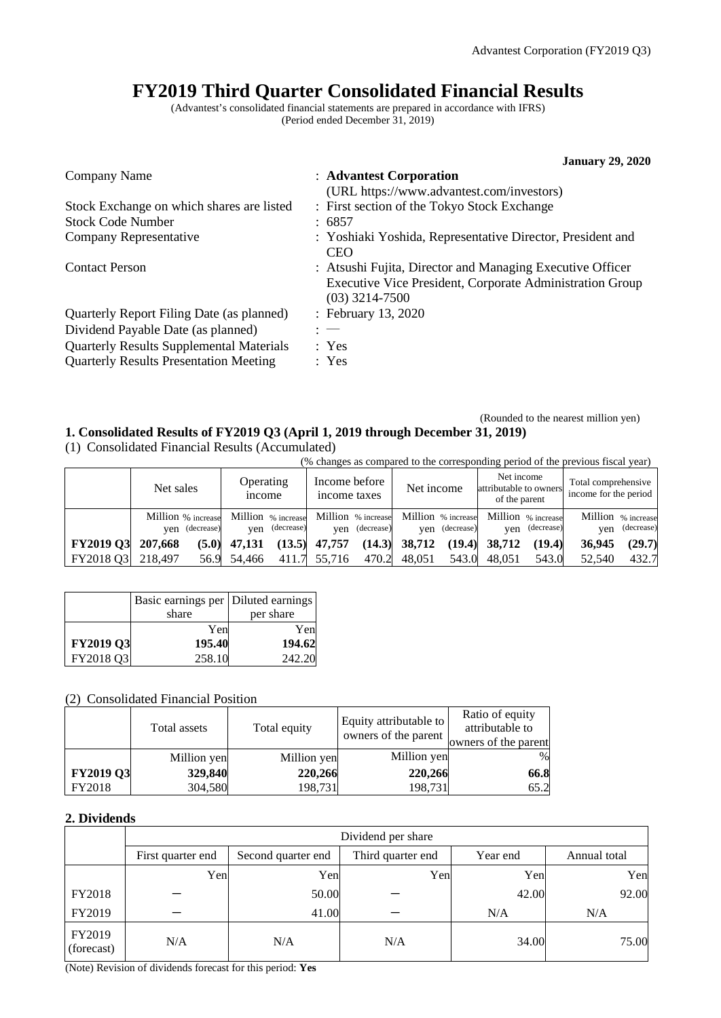# **FY2019 Third Quarter Consolidated Financial Results**

(Advantest's consolidated financial statements are prepared in accordance with IFRS) (Period ended December 31, 2019)

|                                                 | <b>January 29, 2020</b>                                                                                                                   |
|-------------------------------------------------|-------------------------------------------------------------------------------------------------------------------------------------------|
| Company Name                                    | : Advantest Corporation                                                                                                                   |
|                                                 | (URL https://www.advantest.com/investors)                                                                                                 |
| Stock Exchange on which shares are listed       | : First section of the Tokyo Stock Exchange                                                                                               |
| <b>Stock Code Number</b>                        | : 6857                                                                                                                                    |
| Company Representative                          | : Yoshiaki Yoshida, Representative Director, President and<br><b>CEO</b>                                                                  |
| <b>Contact Person</b>                           | : Atsushi Fujita, Director and Managing Executive Officer<br>Executive Vice President, Corporate Administration Group<br>$(03)$ 3214-7500 |
| Quarterly Report Filing Date (as planned)       | : February 13, 2020                                                                                                                       |
| Dividend Payable Date (as planned)              | $: -$                                                                                                                                     |
| <b>Quarterly Results Supplemental Materials</b> | : Yes                                                                                                                                     |
| <b>Quarterly Results Presentation Meeting</b>   | : Yes                                                                                                                                     |

### (Rounded to the nearest million yen) **1. Consolidated Results of FY2019 Q3 (April 1, 2019 through December 31, 2019)**

(1) Consolidated Financial Results (Accumulated)

|                          | (% changes as compared to the corresponding period of the previous fiscal year) |                                         |                               |                 |                                                                               |                                              |  |
|--------------------------|---------------------------------------------------------------------------------|-----------------------------------------|-------------------------------|-----------------|-------------------------------------------------------------------------------|----------------------------------------------|--|
|                          | Net sales                                                                       | Operating<br><i>n</i> come              | Income before<br>income taxes | Net income      | Net income<br>attributable to owners<br>of the parent                         | Total comprehensive<br>income for the period |  |
|                          | Million % increase<br>ven (decrease)                                            | Million % increase<br>(decrease)<br>ven | ven (decrease)                | ven (decrease)  | Million % increase Million % increase Million % increase<br>(decrease)<br>ven | Million % increase<br>(decrease)<br>ven      |  |
| <b>FY2019 Q3</b> 207,668 | (5.0)                                                                           | 47,131                                  | $(13.5)$ 47,757               | $(14.3)$ 38,712 | (19.4) 38,712<br>(19.4)                                                       | (29.7)<br>36,945                             |  |

FY2018 Q3 218,497 56.9 54,466 411.7 55,716 470.2 48,051 543.0 48,051 543.0 52,540 432.7

|           | Basic earnings per   Diluted earnings |           |
|-----------|---------------------------------------|-----------|
|           | share                                 | per share |
|           | Yen                                   | Yen       |
| FY2019 Q3 | 195.40                                | 194.62    |
| FY2018 Q3 | 258.10                                | 242.20    |

# (2) Consolidated Financial Position

|                  | Total assets | Total equity | Equity attributable to<br>owners of the parent | Ratio of equity<br>attributable to<br>owners of the parent |
|------------------|--------------|--------------|------------------------------------------------|------------------------------------------------------------|
|                  | Million yen  | Million yen  | Million yen                                    | $\%$                                                       |
| <b>FY2019 Q3</b> | 329,840      | 220,266      | 220,266                                        | 66.8                                                       |
| FY2018           | 304,580      | 198,731      | 198,731                                        | 65.2                                                       |

### **2. Dividends**

|                      | Dividend per share |                    |                   |          |              |  |  |
|----------------------|--------------------|--------------------|-------------------|----------|--------------|--|--|
|                      | First quarter end  | Second quarter end | Third quarter end | Year end | Annual total |  |  |
|                      | Yen                | Yen                | Yen               | Yen      | Yen          |  |  |
| FY2018               |                    | 50.00              |                   | 42.00    | 92.00        |  |  |
| FY2019               |                    | 41.00              |                   | N/A      | N/A          |  |  |
| FY2019<br>(forecast) | N/A                | N/A                | N/A               | 34.00    | 75.00        |  |  |

(Note) Revision of dividends forecast for this period: **Yes**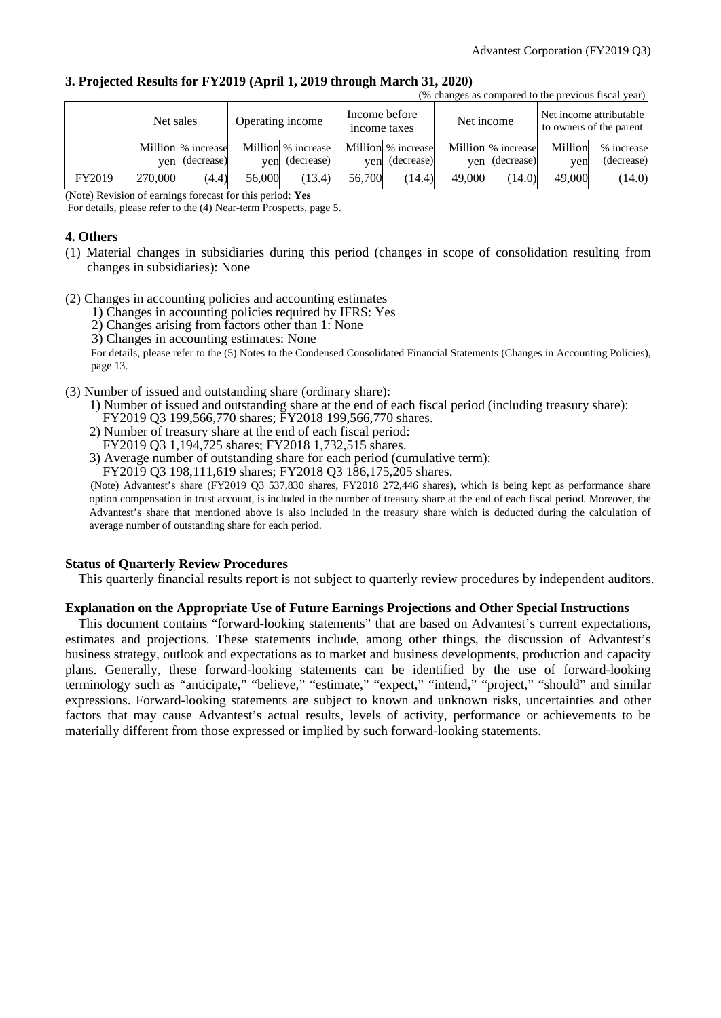$(x, a, \ldots, x, a, \ldots, a, x, a, \ldots, a)$ 

### **3. Projected Results for FY2019 (April 1, 2019 through March 31, 2020)**

|        | Income before<br>Operating income<br>Net sales<br>income taxes |                                      |        | Net income                       |        | o changes as compared to the previous risear year.<br>Net income attributable<br>to owners of the parent |        |                                      |                |                          |
|--------|----------------------------------------------------------------|--------------------------------------|--------|----------------------------------|--------|----------------------------------------------------------------------------------------------------------|--------|--------------------------------------|----------------|--------------------------|
|        |                                                                | Million % increase<br>yen (decrease) | ven    | Million % increase<br>(decrease) | ven    | Million % increase<br>(decrease)                                                                         |        | Million % increase<br>yen (decrease) | Million<br>ven | % increase<br>(decrease) |
| FY2019 | 270,000                                                        | (4.4)                                | 56,000 | (13.4)                           | 56,700 | (14.4)                                                                                                   | 49,000 | (14.0)                               | 49,000         | (14.0)                   |

(Note) Revision of earnings forecast for this period: **Yes**

For details, please refer to the (4) Near-term Prospects, page 5.

### **4. Others**

- (1) Material changes in subsidiaries during this period (changes in scope of consolidation resulting from changes in subsidiaries): None
- (2) Changes in accounting policies and accounting estimates
	- 1) Changes in accounting policies required by IFRS: Yes
	- 2) Changes arising from factors other than 1: None
	- 3) Changes in accounting estimates: None

For details, please refer to the (5) Notes to the Condensed Consolidated Financial Statements (Changes in Accounting Policies), page 13.

- (3) Number of issued and outstanding share (ordinary share):
	- 1) Number of issued and outstanding share at the end of each fiscal period (including treasury share): FY2019 Q3 199,566,770 shares; FY2018 199,566,770 shares.
	- 2) Number of treasury share at the end of each fiscal period: FY2019 Q3 1,194,725 shares; FY2018 1,732,515 shares.
	- 3) Average number of outstanding share for each period (cumulative term):

FY2019 Q3 198,111,619 shares; FY2018 Q3 186,175,205 shares.

(Note) Advantest's share (FY2019 Q3 537,830 shares, FY2018 272,446 shares), which is being kept as performance share option compensation in trust account, is included in the number of treasury share at the end of each fiscal period. Moreover, the Advantest's share that mentioned above is also included in the treasury share which is deducted during the calculation of average number of outstanding share for each period.

### **Status of Quarterly Review Procedures**

This quarterly financial results report is not subject to quarterly review procedures by independent auditors.

### **Explanation on the Appropriate Use of Future Earnings Projections and Other Special Instructions**

This document contains "forward-looking statements" that are based on Advantest's current expectations, estimates and projections. These statements include, among other things, the discussion of Advantest's business strategy, outlook and expectations as to market and business developments, production and capacity plans. Generally, these forward-looking statements can be identified by the use of forward-looking terminology such as "anticipate," "believe," "estimate," "expect," "intend," "project," "should" and similar expressions. Forward-looking statements are subject to known and unknown risks, uncertainties and other factors that may cause Advantest's actual results, levels of activity, performance or achievements to be materially different from those expressed or implied by such forward-looking statements.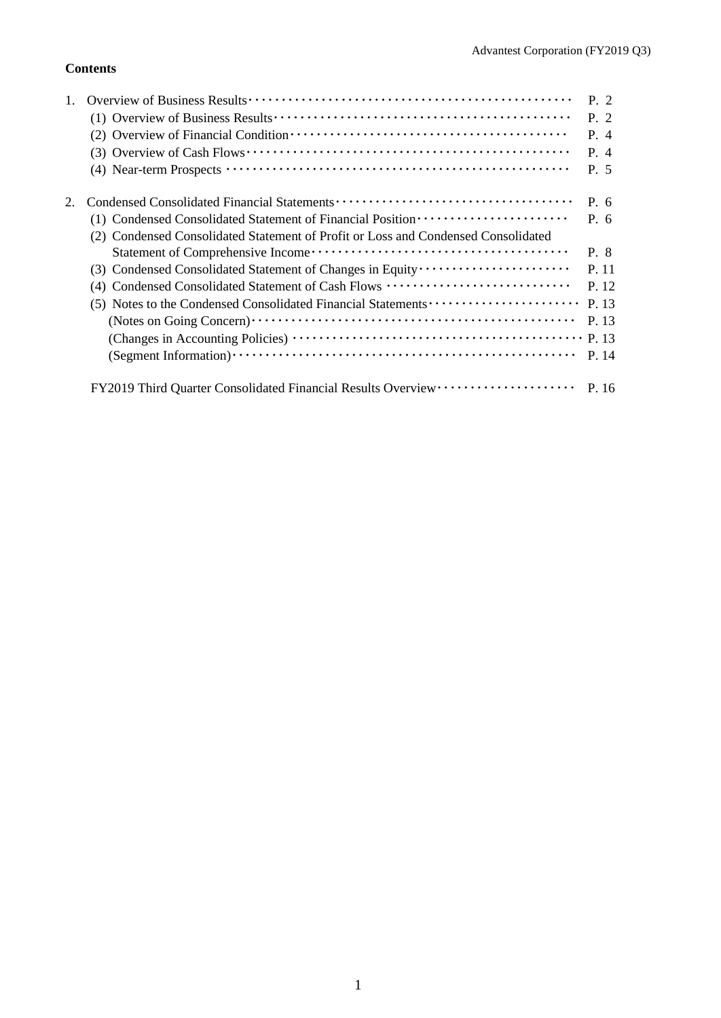# **Contents**

|                                                                                   | P. 2  |
|-----------------------------------------------------------------------------------|-------|
|                                                                                   | P. 2  |
|                                                                                   | P. 4  |
|                                                                                   | $P_4$ |
|                                                                                   | P. 5  |
|                                                                                   | P. 6  |
| (1) Condensed Consolidated Statement of Financial Position ······················ | P. 6  |
| (2) Condensed Consolidated Statement of Profit or Loss and Condensed Consolidated |       |
|                                                                                   | P. 8  |
|                                                                                   | P. 11 |
| (4) Condensed Consolidated Statement of Cash Flows                                | P. 12 |
| (5) Notes to the Condensed Consolidated Financial Statements                      | P. 13 |
|                                                                                   | P. 13 |
|                                                                                   | P. 13 |
|                                                                                   | P. 14 |
| FY2019 Third Quarter Consolidated Financial Results Overview ···················· | P. 16 |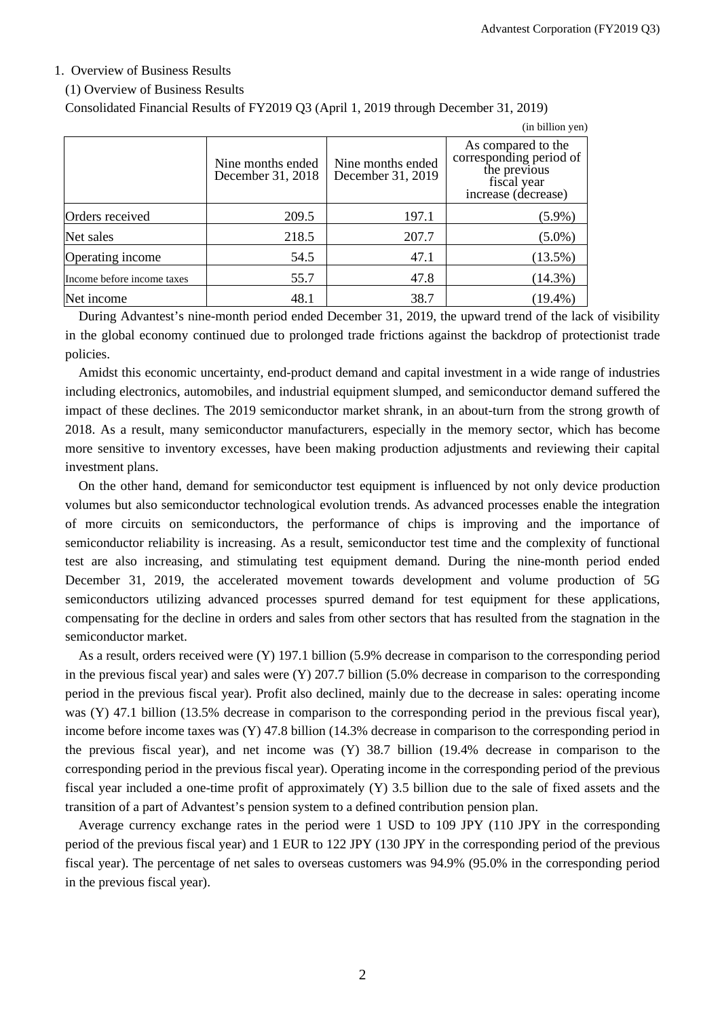### 1. Overview of Business Results

### (1) Overview of Business Results

Consolidated Financial Results of FY2019 Q3 (April 1, 2019 through December 31, 2019)

|                            |                                        |                                        | (in billion yen)                                                                                    |
|----------------------------|----------------------------------------|----------------------------------------|-----------------------------------------------------------------------------------------------------|
|                            | Nine months ended<br>December 31, 2018 | Nine months ended<br>December 31, 2019 | As compared to the<br>corresponding period of<br>the previous<br>fiscal year<br>increase (decrease) |
| Orders received            | 209.5                                  | 197.1                                  | $(5.9\%)$                                                                                           |
| Net sales                  | 218.5                                  | 207.7                                  | $(5.0\%)$                                                                                           |
| Operating income           | 54.5                                   | 47.1                                   | $(13.5\%)$                                                                                          |
| Income before income taxes | 55.7                                   | 47.8                                   | $(14.3\%)$                                                                                          |
| Net income                 | 48.1                                   | 38.7                                   | $(19.4\%)$                                                                                          |

During Advantest's nine-month period ended December 31, 2019, the upward trend of the lack of visibility in the global economy continued due to prolonged trade frictions against the backdrop of protectionist trade policies.

Amidst this economic uncertainty, end-product demand and capital investment in a wide range of industries including electronics, automobiles, and industrial equipment slumped, and semiconductor demand suffered the impact of these declines. The 2019 semiconductor market shrank, in an about-turn from the strong growth of 2018. As a result, many semiconductor manufacturers, especially in the memory sector, which has become more sensitive to inventory excesses, have been making production adjustments and reviewing their capital investment plans.

On the other hand, demand for semiconductor test equipment is influenced by not only device production volumes but also semiconductor technological evolution trends. As advanced processes enable the integration of more circuits on semiconductors, the performance of chips is improving and the importance of semiconductor reliability is increasing. As a result, semiconductor test time and the complexity of functional test are also increasing, and stimulating test equipment demand. During the nine-month period ended December 31, 2019, the accelerated movement towards development and volume production of 5G semiconductors utilizing advanced processes spurred demand for test equipment for these applications, compensating for the decline in orders and sales from other sectors that has resulted from the stagnation in the semiconductor market.

As a result, orders received were (Y) 197.1 billion (5.9% decrease in comparison to the corresponding period in the previous fiscal year) and sales were (Y) 207.7 billion (5.0% decrease in comparison to the corresponding period in the previous fiscal year). Profit also declined, mainly due to the decrease in sales: operating income was (Y) 47.1 billion (13.5% decrease in comparison to the corresponding period in the previous fiscal year), income before income taxes was (Y) 47.8 billion (14.3% decrease in comparison to the corresponding period in the previous fiscal year), and net income was (Y) 38.7 billion (19.4% decrease in comparison to the corresponding period in the previous fiscal year). Operating income in the corresponding period of the previous fiscal year included a one-time profit of approximately (Y) 3.5 billion due to the sale of fixed assets and the transition of a part of Advantest's pension system to a defined contribution pension plan.

Average currency exchange rates in the period were 1 USD to 109 JPY (110 JPY in the corresponding period of the previous fiscal year) and 1 EUR to 122 JPY (130 JPY in the corresponding period of the previous fiscal year). The percentage of net sales to overseas customers was 94.9% (95.0% in the corresponding period in the previous fiscal year).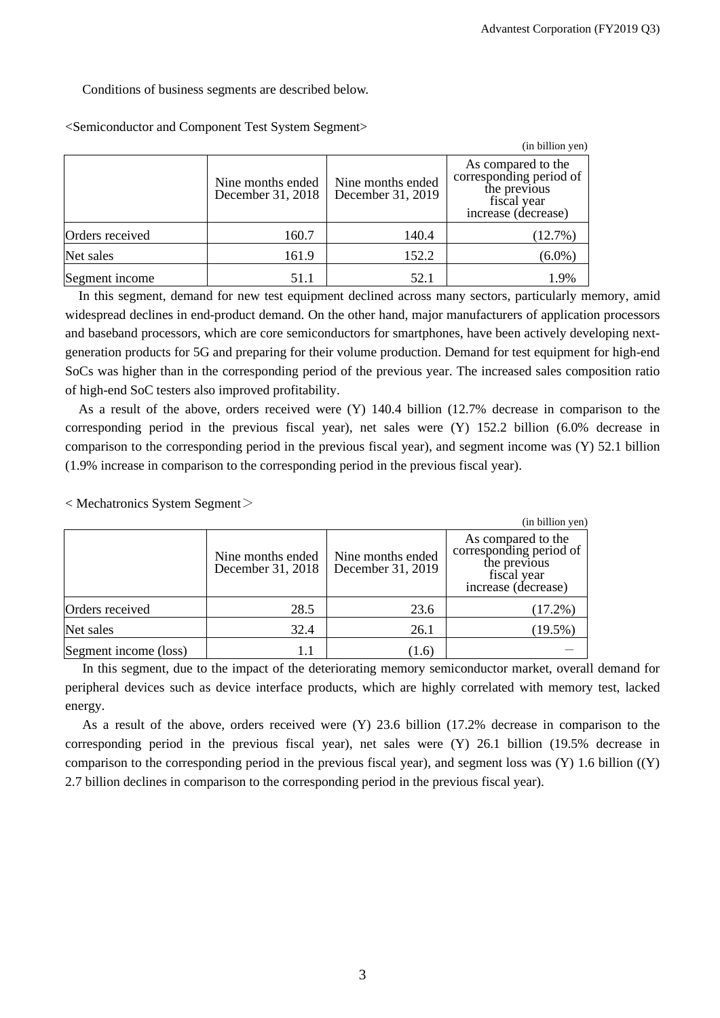Conditions of business segments are described below.

|                 |                                        |                                        | (in billion yen)                                                                                    |
|-----------------|----------------------------------------|----------------------------------------|-----------------------------------------------------------------------------------------------------|
|                 | Nine months ended<br>December 31, 2018 | Nine months ended<br>December 31, 2019 | As compared to the<br>corresponding period of<br>the previous<br>fiscal year<br>increase (decrease) |
| Orders received | 160.7                                  | 140.4                                  | (12.7%)                                                                                             |
| Net sales       | 161.9                                  | 152.2                                  | $(6.0\%)$                                                                                           |
| Segment income  | 51.1                                   | 52.1                                   | 1.9%                                                                                                |

<Semiconductor and Component Test System Segment>

In this segment, demand for new test equipment declined across many sectors, particularly memory, amid widespread declines in end-product demand. On the other hand, major manufacturers of application processors and baseband processors, which are core semiconductors for smartphones, have been actively developing nextgeneration products for 5G and preparing for their volume production. Demand for test equipment for high-end SoCs was higher than in the corresponding period of the previous year. The increased sales composition ratio of high-end SoC testers also improved profitability.

As a result of the above, orders received were (Y) 140.4 billion (12.7% decrease in comparison to the corresponding period in the previous fiscal year), net sales were (Y) 152.2 billion (6.0% decrease in comparison to the corresponding period in the previous fiscal year), and segment income was (Y) 52.1 billion (1.9% increase in comparison to the corresponding period in the previous fiscal year).

< Mechatronics System Segment>

|                       |                                        |                                        | (in billion yen)                                                                                    |
|-----------------------|----------------------------------------|----------------------------------------|-----------------------------------------------------------------------------------------------------|
|                       | Nine months ended<br>December 31, 2018 | Nine months ended<br>December 31, 2019 | As compared to the<br>corresponding period of<br>the previous<br>fiscal year<br>increase (decrease) |
| Orders received       | 28.5                                   | 23.6                                   | $(17.2\%)$                                                                                          |
| Net sales             | 32.4                                   | 26.1                                   | $(19.5\%)$                                                                                          |
| Segment income (loss) | 1.1                                    | (1.6)                                  |                                                                                                     |

In this segment, due to the impact of the deteriorating memory semiconductor market, overall demand for peripheral devices such as device interface products, which are highly correlated with memory test, lacked energy.

As a result of the above, orders received were (Y) 23.6 billion (17.2% decrease in comparison to the corresponding period in the previous fiscal year), net sales were  $(Y)$  26.1 billion (19.5% decrease in comparison to the corresponding period in the previous fiscal year), and segment loss was  $(Y)$  1.6 billion  $((Y)$ 2.7 billion declines in comparison to the corresponding period in the previous fiscal year).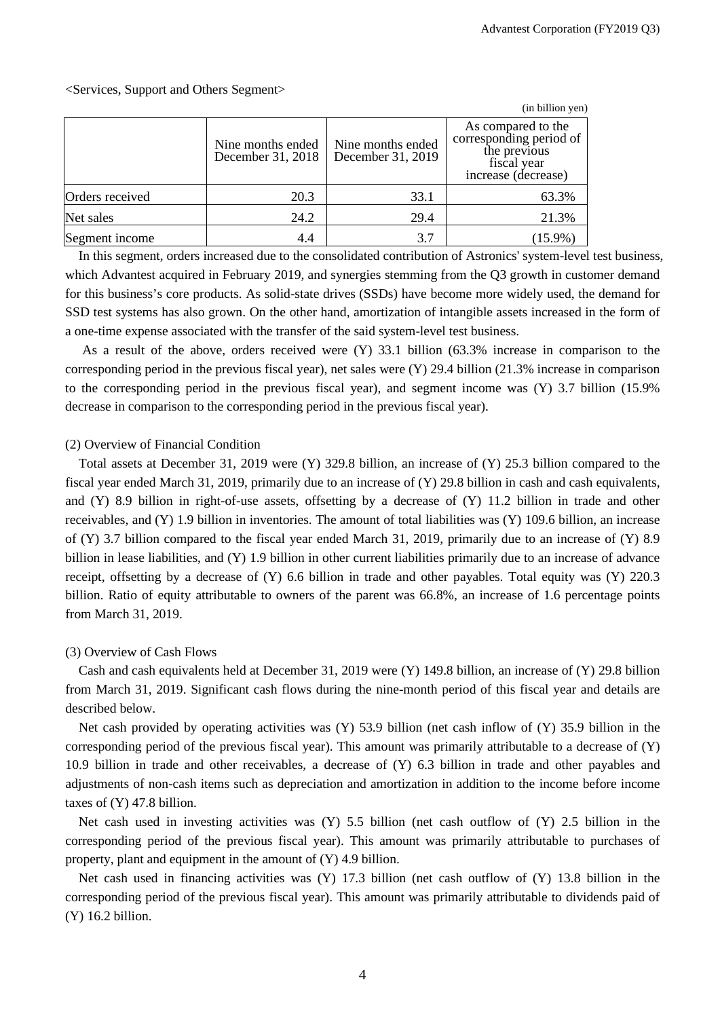|                 |                                        |                                        | (in billion yen)                                                                                    |
|-----------------|----------------------------------------|----------------------------------------|-----------------------------------------------------------------------------------------------------|
|                 | Nine months ended<br>December 31, 2018 | Nine months ended<br>December 31, 2019 | As compared to the<br>corresponding period of<br>the previous<br>fiscal year<br>increase (decrease) |
| Orders received | 20.3                                   | 33.1                                   | 63.3%                                                                                               |
| Net sales       | 24.2                                   | 29.4                                   | 21.3%                                                                                               |
| Segment income  | 4.4                                    | 3.7                                    | $(15.9\%)$                                                                                          |

<Services, Support and Others Segment>

In this segment, orders increased due to the consolidated contribution of Astronics' system-level test business, which Advantest acquired in February 2019, and synergies stemming from the Q3 growth in customer demand for this business's core products. As solid-state drives (SSDs) have become more widely used, the demand for SSD test systems has also grown. On the other hand, amortization of intangible assets increased in the form of a one-time expense associated with the transfer of the said system-level test business.

As a result of the above, orders received were (Y) 33.1 billion (63.3% increase in comparison to the corresponding period in the previous fiscal year), net sales were (Y) 29.4 billion (21.3% increase in comparison to the corresponding period in the previous fiscal year), and segment income was (Y) 3.7 billion (15.9% decrease in comparison to the corresponding period in the previous fiscal year).

### (2) Overview of Financial Condition

Total assets at December 31, 2019 were (Y) 329.8 billion, an increase of (Y) 25.3 billion compared to the fiscal year ended March 31, 2019, primarily due to an increase of (Y) 29.8 billion in cash and cash equivalents, and (Y) 8.9 billion in right-of-use assets, offsetting by a decrease of (Y) 11.2 billion in trade and other receivables, and (Y) 1.9 billion in inventories. The amount of total liabilities was (Y) 109.6 billion, an increase of (Y) 3.7 billion compared to the fiscal year ended March 31, 2019, primarily due to an increase of (Y) 8.9 billion in lease liabilities, and (Y) 1.9 billion in other current liabilities primarily due to an increase of advance receipt, offsetting by a decrease of (Y) 6.6 billion in trade and other payables. Total equity was (Y) 220.3 billion. Ratio of equity attributable to owners of the parent was 66.8%, an increase of 1.6 percentage points from March 31, 2019.

### (3) Overview of Cash Flows

Cash and cash equivalents held at December 31, 2019 were (Y) 149.8 billion, an increase of (Y) 29.8 billion from March 31, 2019. Significant cash flows during the nine-month period of this fiscal year and details are described below.

Net cash provided by operating activities was (Y) 53.9 billion (net cash inflow of (Y) 35.9 billion in the corresponding period of the previous fiscal year). This amount was primarily attributable to a decrease of (Y) 10.9 billion in trade and other receivables, a decrease of (Y) 6.3 billion in trade and other payables and adjustments of non-cash items such as depreciation and amortization in addition to the income before income taxes of (Y) 47.8 billion.

Net cash used in investing activities was (Y) 5.5 billion (net cash outflow of (Y) 2.5 billion in the corresponding period of the previous fiscal year). This amount was primarily attributable to purchases of property, plant and equipment in the amount of (Y) 4.9 billion.

Net cash used in financing activities was (Y) 17.3 billion (net cash outflow of (Y) 13.8 billion in the corresponding period of the previous fiscal year). This amount was primarily attributable to dividends paid of (Y) 16.2 billion.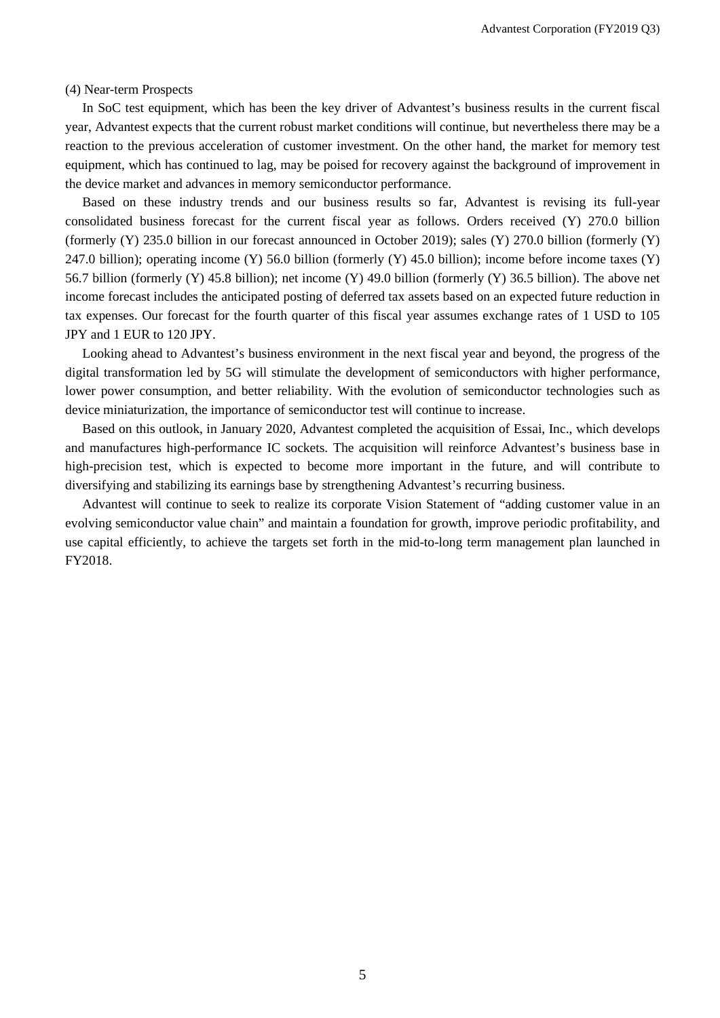(4) Near-term Prospects

In SoC test equipment, which has been the key driver of Advantest's business results in the current fiscal year, Advantest expects that the current robust market conditions will continue, but nevertheless there may be a reaction to the previous acceleration of customer investment. On the other hand, the market for memory test equipment, which has continued to lag, may be poised for recovery against the background of improvement in the device market and advances in memory semiconductor performance.

Based on these industry trends and our business results so far, Advantest is revising its full-year consolidated business forecast for the current fiscal year as follows. Orders received (Y) 270.0 billion (formerly (Y) 235.0 billion in our forecast announced in October 2019); sales (Y) 270.0 billion (formerly (Y) 247.0 billion); operating income (Y) 56.0 billion (formerly (Y) 45.0 billion); income before income taxes (Y) 56.7 billion (formerly (Y) 45.8 billion); net income (Y) 49.0 billion (formerly (Y) 36.5 billion). The above net income forecast includes the anticipated posting of deferred tax assets based on an expected future reduction in tax expenses. Our forecast for the fourth quarter of this fiscal year assumes exchange rates of 1 USD to 105 JPY and 1 EUR to 120 JPY.

Looking ahead to Advantest's business environment in the next fiscal year and beyond, the progress of the digital transformation led by 5G will stimulate the development of semiconductors with higher performance, lower power consumption, and better reliability. With the evolution of semiconductor technologies such as device miniaturization, the importance of semiconductor test will continue to increase.

Based on this outlook, in January 2020, Advantest completed the acquisition of Essai, Inc., which develops and manufactures high-performance IC sockets. The acquisition will reinforce Advantest's business base in high-precision test, which is expected to become more important in the future, and will contribute to diversifying and stabilizing its earnings base by strengthening Advantest's recurring business.

Advantest will continue to seek to realize its corporate Vision Statement of "adding customer value in an evolving semiconductor value chain" and maintain a foundation for growth, improve periodic profitability, and use capital efficiently, to achieve the targets set forth in the mid-to-long term management plan launched in FY2018.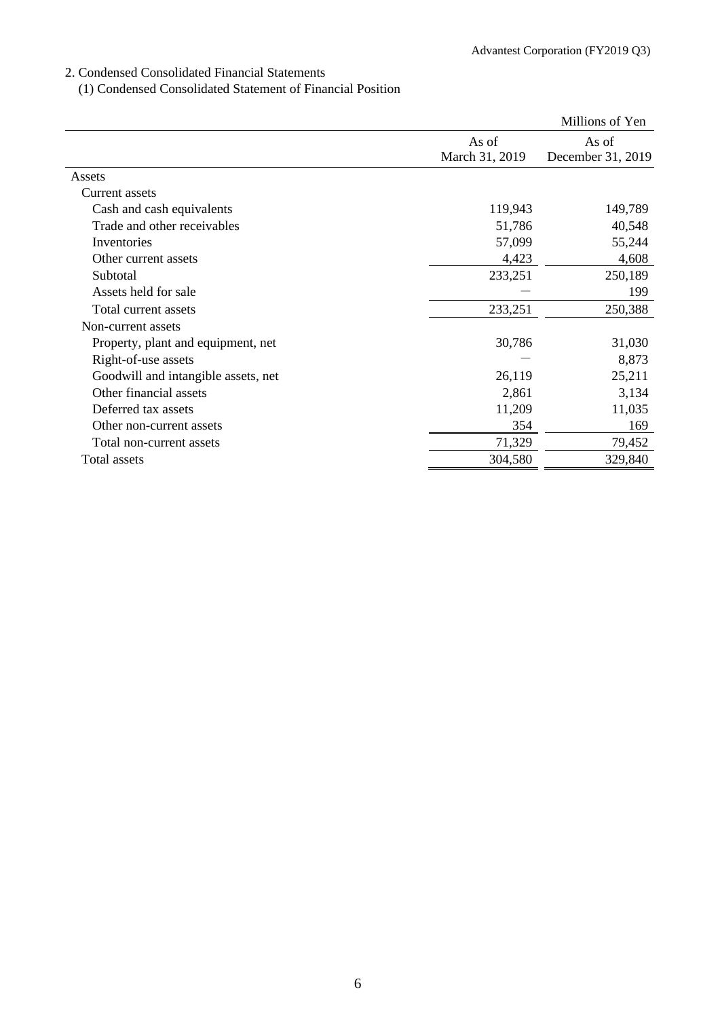### 2. Condensed Consolidated Financial Statements

(1) Condensed Consolidated Statement of Financial Position

|                                     |                | Millions of Yen   |
|-------------------------------------|----------------|-------------------|
|                                     | As of          | As of             |
|                                     | March 31, 2019 | December 31, 2019 |
| Assets                              |                |                   |
| Current assets                      |                |                   |
| Cash and cash equivalents           | 119,943        | 149,789           |
| Trade and other receivables         | 51,786         | 40,548            |
| Inventories                         | 57,099         | 55,244            |
| Other current assets                | 4,423          | 4,608             |
| Subtotal                            | 233,251        | 250,189           |
| Assets held for sale                |                | 199               |
| Total current assets                | 233,251        | 250,388           |
| Non-current assets                  |                |                   |
| Property, plant and equipment, net  | 30,786         | 31,030            |
| Right-of-use assets                 |                | 8,873             |
| Goodwill and intangible assets, net | 26,119         | 25,211            |
| Other financial assets              | 2,861          | 3,134             |
| Deferred tax assets                 | 11,209         | 11,035            |
| Other non-current assets            | 354            | 169               |
| Total non-current assets            | 71,329         | 79,452            |
| Total assets                        | 304,580        | 329,840           |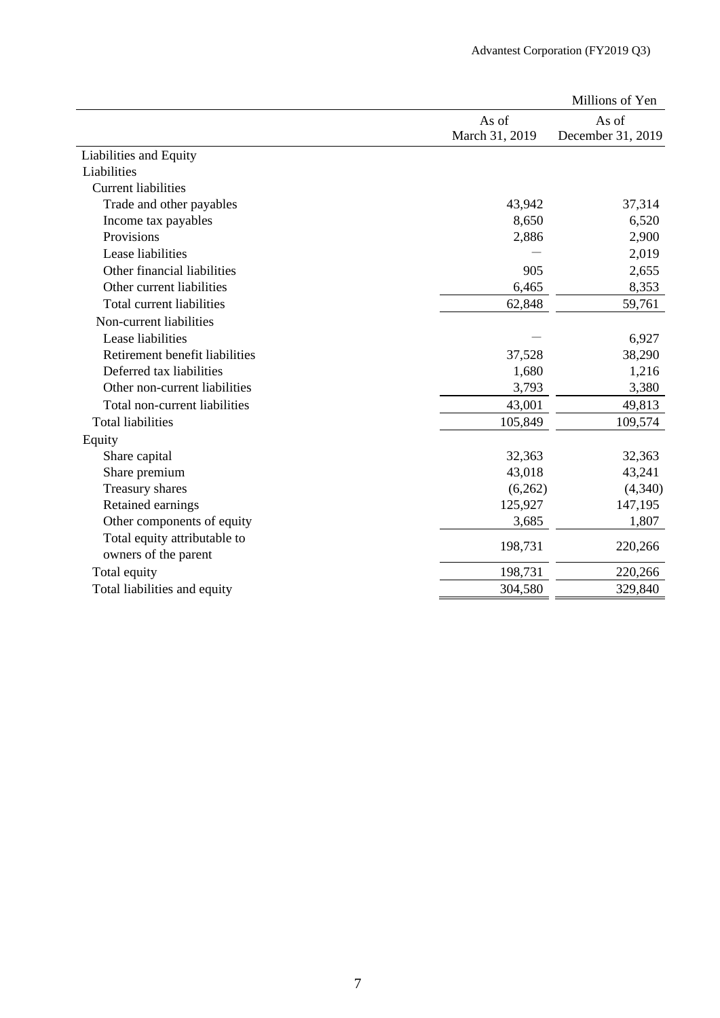|                                |                | Millions of Yen   |
|--------------------------------|----------------|-------------------|
|                                | As of          | As of             |
|                                | March 31, 2019 | December 31, 2019 |
| Liabilities and Equity         |                |                   |
| Liabilities                    |                |                   |
| <b>Current liabilities</b>     |                |                   |
| Trade and other payables       | 43,942         | 37,314            |
| Income tax payables            | 8,650          | 6,520             |
| Provisions                     | 2,886          | 2,900             |
| Lease liabilities              |                | 2,019             |
| Other financial liabilities    | 905            | 2,655             |
| Other current liabilities      | 6,465          | 8,353             |
| Total current liabilities      | 62,848         | 59,761            |
| Non-current liabilities        |                |                   |
| Lease liabilities              |                | 6,927             |
| Retirement benefit liabilities | 37,528         | 38,290            |
| Deferred tax liabilities       | 1,680          | 1,216             |
| Other non-current liabilities  | 3,793          | 3,380             |
| Total non-current liabilities  | 43,001         | 49,813            |
| <b>Total liabilities</b>       | 105,849        | 109,574           |
| Equity                         |                |                   |
| Share capital                  | 32,363         | 32,363            |
| Share premium                  | 43,018         | 43,241            |
| Treasury shares                | (6,262)        | (4,340)           |
| Retained earnings              | 125,927        | 147,195           |
| Other components of equity     | 3,685          | 1,807             |
| Total equity attributable to   | 198,731        | 220,266           |
| owners of the parent           |                |                   |
| Total equity                   | 198,731        | 220,266           |
| Total liabilities and equity   | 304,580        | 329,840           |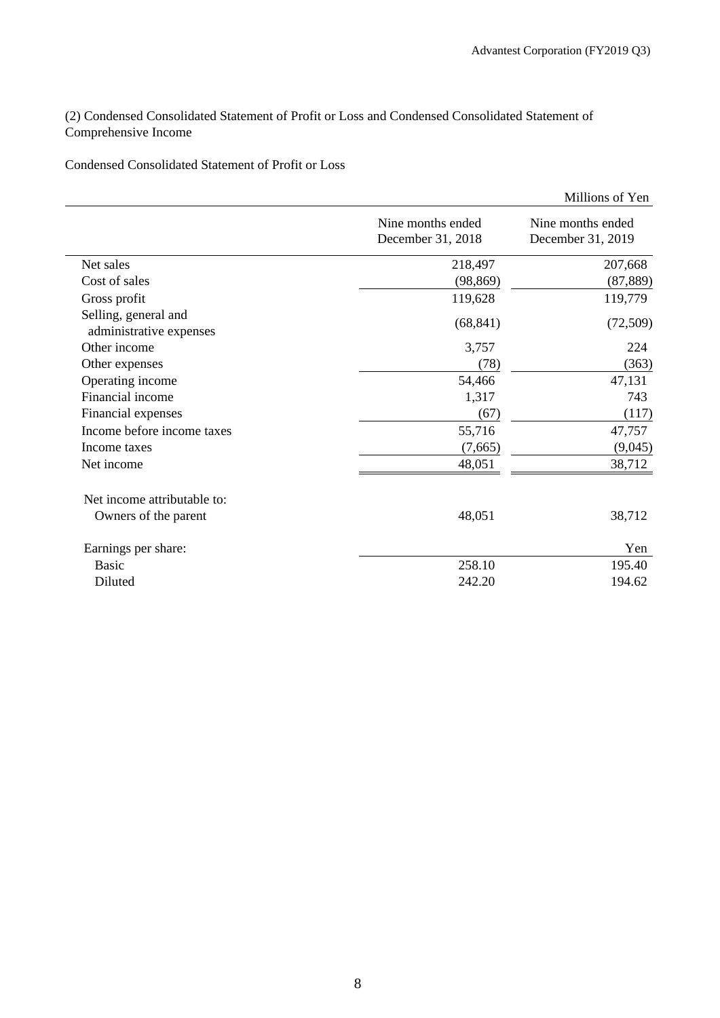(2) Condensed Consolidated Statement of Profit or Loss and Condensed Consolidated Statement of Comprehensive Income

# Condensed Consolidated Statement of Profit or Loss

|                                                 |                                        | Millions of Yen                        |
|-------------------------------------------------|----------------------------------------|----------------------------------------|
|                                                 | Nine months ended<br>December 31, 2018 | Nine months ended<br>December 31, 2019 |
| Net sales                                       | 218,497                                | 207,668                                |
| Cost of sales                                   | (98, 869)                              | (87, 889)                              |
| Gross profit                                    | 119,628                                | 119,779                                |
| Selling, general and<br>administrative expenses | (68, 841)                              | (72,509)                               |
| Other income                                    | 3,757                                  | 224                                    |
| Other expenses                                  | (78)                                   | (363)                                  |
| Operating income                                | 54,466                                 | 47,131                                 |
| Financial income                                | 1,317                                  | 743                                    |
| Financial expenses                              | (67)                                   | (117)                                  |
| Income before income taxes                      | 55,716                                 | 47,757                                 |
| Income taxes                                    | (7,665)                                | (9,045)                                |
| Net income                                      | 48,051                                 | 38,712                                 |
| Net income attributable to:                     |                                        |                                        |
| Owners of the parent                            | 48,051                                 | 38,712                                 |
| Earnings per share:                             |                                        | Yen                                    |
| <b>Basic</b>                                    | 258.10                                 | 195.40                                 |
| Diluted                                         | 242.20                                 | 194.62                                 |
|                                                 |                                        |                                        |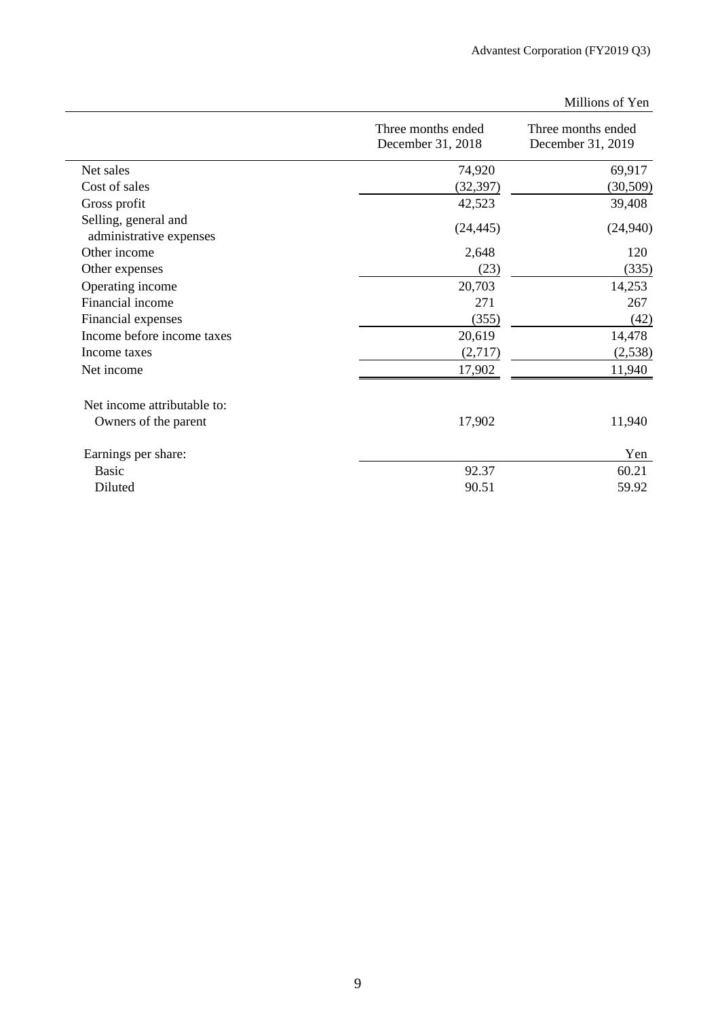|                                                 |                                         | Millions of Yen                         |
|-------------------------------------------------|-----------------------------------------|-----------------------------------------|
|                                                 | Three months ended<br>December 31, 2018 | Three months ended<br>December 31, 2019 |
| Net sales                                       | 74,920                                  | 69,917                                  |
| Cost of sales                                   | (32, 397)                               | (30, 509)                               |
| Gross profit                                    | 42,523                                  | 39,408                                  |
| Selling, general and<br>administrative expenses | (24, 445)                               | (24,940)                                |
| Other income                                    | 2,648                                   | 120                                     |
| Other expenses                                  | (23)                                    | (335)                                   |
| Operating income                                | 20,703                                  | 14,253                                  |
| Financial income                                | 271                                     | 267                                     |
| Financial expenses                              | (355)                                   | (42)                                    |
| Income before income taxes                      | 20,619                                  | 14,478                                  |
| Income taxes                                    | (2,717)                                 | (2,538)                                 |
| Net income                                      | 17,902                                  | 11,940                                  |
| Net income attributable to:                     |                                         |                                         |
| Owners of the parent                            | 17,902                                  | 11,940                                  |
| Earnings per share:                             |                                         | Yen                                     |
| <b>Basic</b>                                    | 92.37                                   | 60.21                                   |
| Diluted                                         | 90.51                                   | 59.92                                   |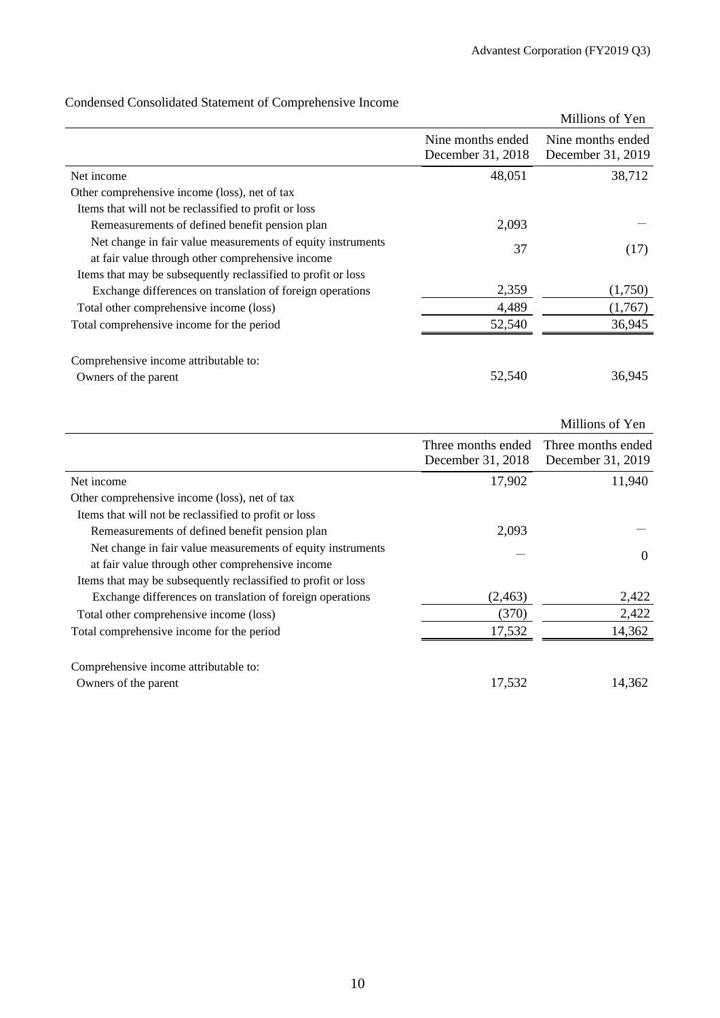|                                                                                                                 |                                        | Millions of Yen                        |
|-----------------------------------------------------------------------------------------------------------------|----------------------------------------|----------------------------------------|
|                                                                                                                 | Nine months ended<br>December 31, 2018 | Nine months ended<br>December 31, 2019 |
| Net income                                                                                                      | 48,051                                 | 38,712                                 |
| Other comprehensive income (loss), net of tax                                                                   |                                        |                                        |
| Items that will not be reclassified to profit or loss                                                           |                                        |                                        |
| Remeasurements of defined benefit pension plan                                                                  | 2,093                                  |                                        |
| Net change in fair value measurements of equity instruments<br>at fair value through other comprehensive income | 37                                     | (17)                                   |
| Items that may be subsequently reclassified to profit or loss                                                   |                                        |                                        |
| Exchange differences on translation of foreign operations                                                       | 2,359                                  | (1,750)                                |
| Total other comprehensive income (loss)                                                                         | 4,489                                  | (1,767)                                |
| Total comprehensive income for the period                                                                       | 52,540                                 | 36,945                                 |
| Comprehensive income attributable to:<br>Owners of the parent                                                   | 52,540                                 | 36,945                                 |

# Condensed Consolidated Statement of Comprehensive Income

|                                                               |                    | Millions of Yen    |
|---------------------------------------------------------------|--------------------|--------------------|
|                                                               | Three months ended | Three months ended |
|                                                               | December 31, 2018  | December 31, 2019  |
| Net income                                                    | 17,902             | 11,940             |
| Other comprehensive income (loss), net of tax                 |                    |                    |
| Items that will not be reclassified to profit or loss         |                    |                    |
| Remeasurements of defined benefit pension plan                | 2,093              |                    |
| Net change in fair value measurements of equity instruments   |                    | $\Omega$           |
| at fair value through other comprehensive income              |                    |                    |
| Items that may be subsequently reclassified to profit or loss |                    |                    |
| Exchange differences on translation of foreign operations     | (2, 463)           | 2,422              |
| Total other comprehensive income (loss)                       | (370)              | 2,422              |
| Total comprehensive income for the period                     | 17,532             | 14,362             |
|                                                               |                    |                    |
| Comprehensive income attributable to:                         |                    |                    |
| Owners of the parent                                          | 17,532             | 14,362             |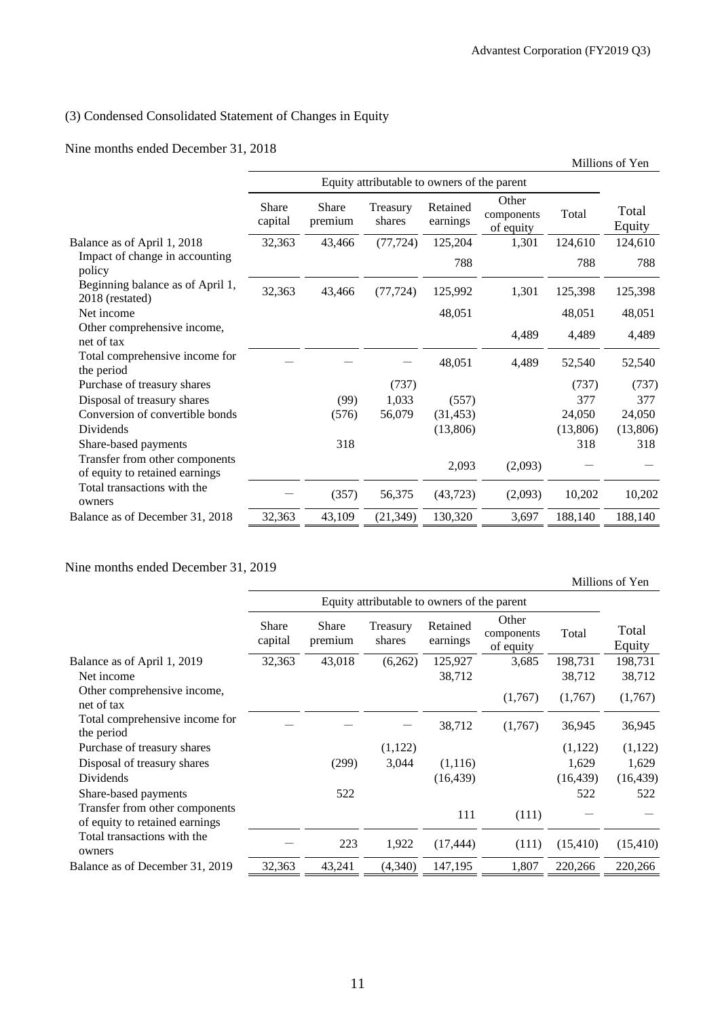# (3) Condensed Consolidated Statement of Changes in Equity

# Nine months ended December 31, 2018

|                                                                  |                  |                  |                                             |                      |                                  |          | Millions of Yen |
|------------------------------------------------------------------|------------------|------------------|---------------------------------------------|----------------------|----------------------------------|----------|-----------------|
|                                                                  |                  |                  | Equity attributable to owners of the parent |                      |                                  |          |                 |
|                                                                  | Share<br>capital | Share<br>premium | Treasury<br>shares                          | Retained<br>earnings | Other<br>components<br>of equity | Total    | Total<br>Equity |
| Balance as of April 1, 2018                                      | 32,363           | 43,466           | (77, 724)                                   | 125,204              | 1,301                            | 124,610  | 124,610         |
| Impact of change in accounting<br>policy                         |                  |                  |                                             | 788                  |                                  | 788      | 788             |
| Beginning balance as of April 1,<br>2018 (restated)              | 32,363           | 43,466           | (77, 724)                                   | 125,992              | 1,301                            | 125,398  | 125,398         |
| Net income                                                       |                  |                  |                                             | 48,051               |                                  | 48,051   | 48,051          |
| Other comprehensive income,<br>net of tax                        |                  |                  |                                             |                      | 4,489                            | 4,489    | 4,489           |
| Total comprehensive income for<br>the period                     |                  |                  |                                             | 48,051               | 4,489                            | 52,540   | 52,540          |
| Purchase of treasury shares                                      |                  |                  | (737)                                       |                      |                                  | (737)    | (737)           |
| Disposal of treasury shares                                      |                  | (99)             | 1,033                                       | (557)                |                                  | 377      | 377             |
| Conversion of convertible bonds                                  |                  | (576)            | 56,079                                      | (31, 453)            |                                  | 24,050   | 24,050          |
| Dividends                                                        |                  |                  |                                             | (13,806)             |                                  | (13,806) | (13,806)        |
| Share-based payments                                             |                  | 318              |                                             |                      |                                  | 318      | 318             |
| Transfer from other components<br>of equity to retained earnings |                  |                  |                                             | 2,093                | (2,093)                          |          |                 |
| Total transactions with the<br>owners                            |                  | (357)            | 56,375                                      | (43, 723)            | (2,093)                          | 10,202   | 10,202          |
| Balance as of December 31, 2018                                  | 32,363           | 43,109           | (21, 349)                                   | 130,320              | 3,697                            | 188,140  | 188,140         |

# Nine months ended December 31, 2019

Millions of Yen

|                                                                  | Share<br>capital | <b>Share</b><br>premium | Treasury<br>shares | Retained<br>earnings | Other<br>components<br>of equity | Total     | Total<br>Equity |
|------------------------------------------------------------------|------------------|-------------------------|--------------------|----------------------|----------------------------------|-----------|-----------------|
| Balance as of April 1, 2019                                      | 32,363           | 43,018                  | (6,262)            | 125,927              | 3,685                            | 198,731   | 198,731         |
| Net income                                                       |                  |                         |                    | 38,712               |                                  | 38,712    | 38,712          |
| Other comprehensive income,<br>net of tax                        |                  |                         |                    |                      | (1,767)                          | (1,767)   | (1,767)         |
| Total comprehensive income for<br>the period                     |                  |                         |                    | 38,712               | (1,767)                          | 36,945    | 36,945          |
| Purchase of treasury shares                                      |                  |                         | (1,122)            |                      |                                  | (1,122)   | (1,122)         |
| Disposal of treasury shares                                      |                  | (299)                   | 3,044              | (1,116)              |                                  | 1,629     | 1,629           |
| Dividends                                                        |                  |                         |                    | (16, 439)            |                                  | (16, 439) | (16, 439)       |
| Share-based payments                                             |                  | 522                     |                    |                      |                                  | 522       | 522             |
| Transfer from other components<br>of equity to retained earnings |                  |                         |                    | 111                  | (111)                            |           |                 |
| Total transactions with the<br>owners                            |                  | 223                     | 1,922              | (17, 444)            | (111)                            | (15, 410) | (15, 410)       |
| Balance as of December 31, 2019                                  | 32,363           | 43,241                  | (4,340)            | 147,195              | 1,807                            | 220,266   | 220,266         |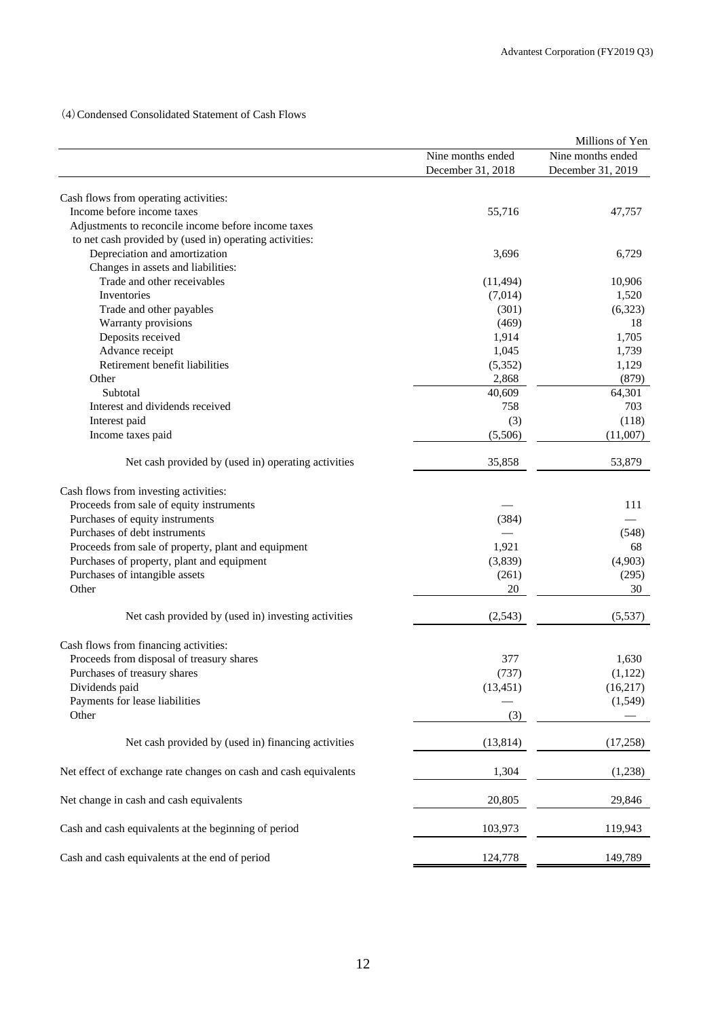(4)Condensed Consolidated Statement of Cash Flows

|                                                                  |                                        | Millions of Yen                        |
|------------------------------------------------------------------|----------------------------------------|----------------------------------------|
|                                                                  | Nine months ended<br>December 31, 2018 | Nine months ended<br>December 31, 2019 |
|                                                                  |                                        |                                        |
| Cash flows from operating activities:                            |                                        |                                        |
| Income before income taxes                                       | 55,716                                 | 47,757                                 |
| Adjustments to reconcile income before income taxes              |                                        |                                        |
| to net cash provided by (used in) operating activities:          |                                        |                                        |
| Depreciation and amortization                                    | 3,696                                  | 6,729                                  |
| Changes in assets and liabilities:                               |                                        |                                        |
| Trade and other receivables                                      | (11, 494)                              | 10,906                                 |
| Inventories                                                      | (7,014)                                | 1,520                                  |
| Trade and other payables                                         | (301)                                  | (6,323)                                |
| Warranty provisions                                              | (469)                                  | 18                                     |
| Deposits received                                                | 1,914                                  | 1,705                                  |
| Advance receipt                                                  | 1,045                                  | 1,739                                  |
| Retirement benefit liabilities                                   | (5,352)                                | 1,129                                  |
| Other                                                            | 2,868                                  | (879)                                  |
| Subtotal                                                         | 40,609                                 | 64,301                                 |
| Interest and dividends received                                  | 758                                    | 703                                    |
| Interest paid                                                    | (3)                                    | (118)                                  |
| Income taxes paid                                                | (5,506)                                | (11,007)                               |
|                                                                  |                                        |                                        |
| Net cash provided by (used in) operating activities              | 35,858                                 | 53,879                                 |
| Cash flows from investing activities:                            |                                        |                                        |
| Proceeds from sale of equity instruments                         |                                        | 111                                    |
| Purchases of equity instruments                                  | (384)                                  |                                        |
| Purchases of debt instruments                                    |                                        | (548)                                  |
|                                                                  | 1,921                                  |                                        |
| Proceeds from sale of property, plant and equipment              |                                        | 68                                     |
| Purchases of property, plant and equipment                       | (3,839)                                | (4,903)                                |
| Purchases of intangible assets                                   | (261)                                  | (295)                                  |
| Other                                                            | 20                                     | 30                                     |
| Net cash provided by (used in) investing activities              | (2,543)                                | (5,537)                                |
| Cash flows from financing activities:                            |                                        |                                        |
| Proceeds from disposal of treasury shares                        | 377                                    | 1,630                                  |
| Purchases of treasury shares                                     | (737)                                  |                                        |
| Dividends paid                                                   | (13, 451)                              | (1,122)<br>(16, 217)                   |
|                                                                  |                                        |                                        |
| Payments for lease liabilities<br>Other                          | (3)                                    | (1,549)                                |
|                                                                  |                                        |                                        |
| Net cash provided by (used in) financing activities              | (13, 814)                              | (17,258)                               |
| Net effect of exchange rate changes on cash and cash equivalents | 1,304                                  | (1,238)                                |
| Net change in cash and cash equivalents                          | 20,805                                 | 29,846                                 |
| Cash and cash equivalents at the beginning of period             | 103,973                                | 119,943                                |
| Cash and cash equivalents at the end of period                   | 124,778                                | 149,789                                |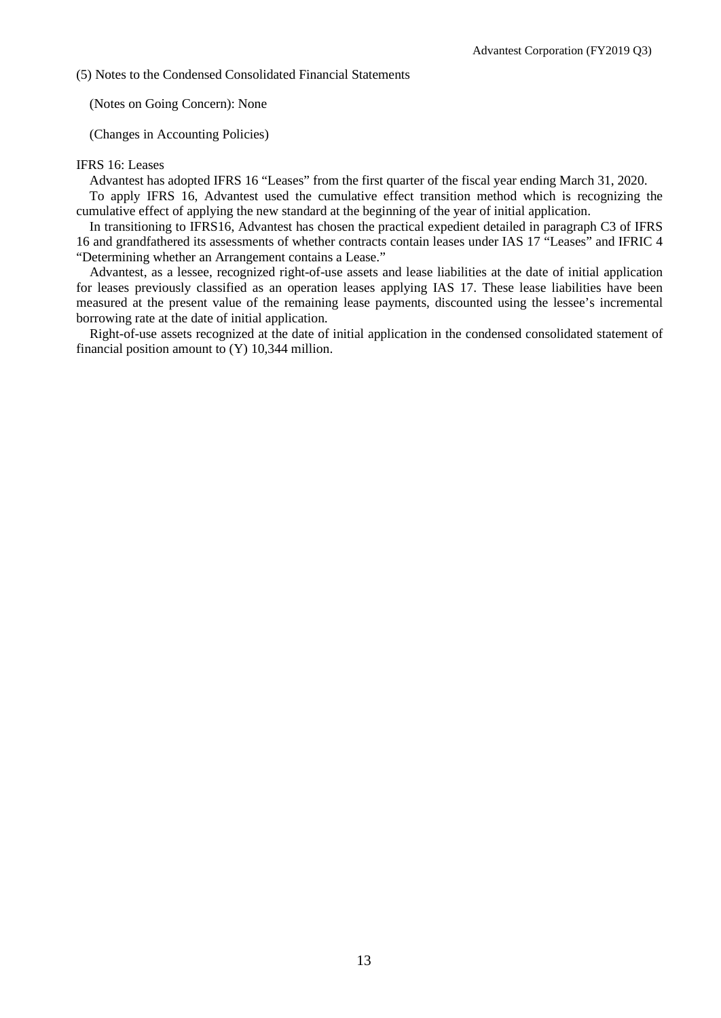(5) Notes to the Condensed Consolidated Financial Statements

(Notes on Going Concern): None

(Changes in Accounting Policies)

### IFRS 16: Leases

Advantest has adopted IFRS 16 "Leases" from the first quarter of the fiscal year ending March 31, 2020.

To apply IFRS 16, Advantest used the cumulative effect transition method which is recognizing the cumulative effect of applying the new standard at the beginning of the year of initial application.

In transitioning to IFRS16, Advantest has chosen the practical expedient detailed in paragraph C3 of IFRS 16 and grandfathered its assessments of whether contracts contain leases under IAS 17 "Leases" and IFRIC 4 "Determining whether an Arrangement contains a Lease."

Advantest, as a lessee, recognized right-of-use assets and lease liabilities at the date of initial application for leases previously classified as an operation leases applying IAS 17. These lease liabilities have been measured at the present value of the remaining lease payments, discounted using the lessee's incremental borrowing rate at the date of initial application.

Right-of-use assets recognized at the date of initial application in the condensed consolidated statement of financial position amount to (Y) 10,344 million.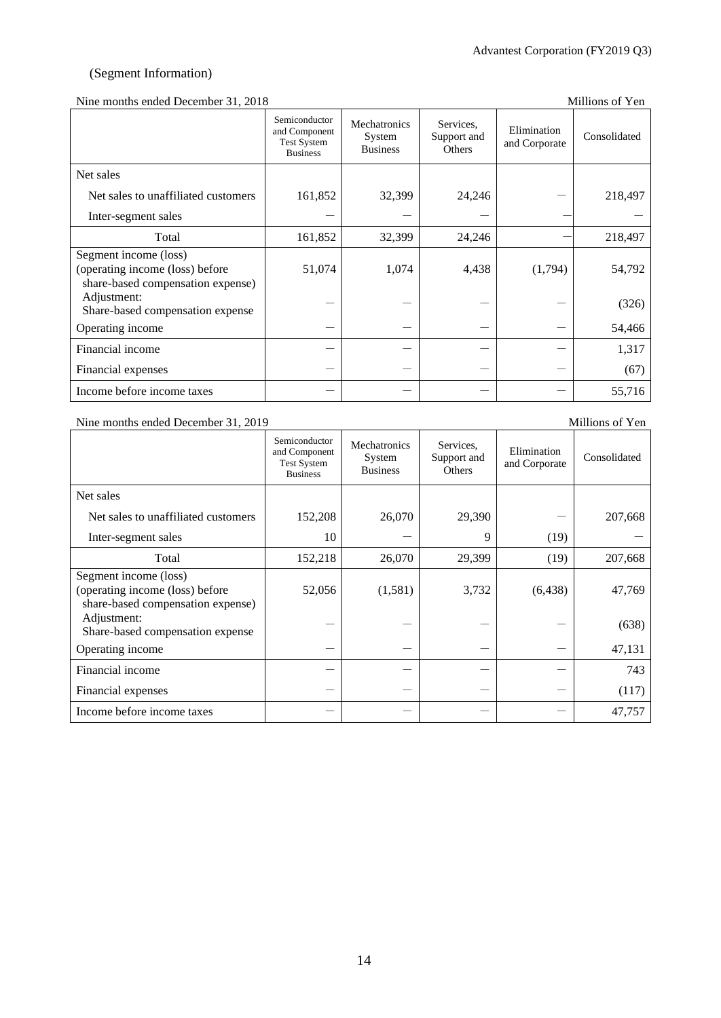# (Segment Information)

### Nine months ended December 31, 2018 Millions of Yen

|                                                                                               | Semiconductor<br>and Component<br><b>Test System</b><br><b>Business</b> | Mechatronics<br>System<br><b>Business</b> | Services.<br>Support and<br>Others | Elimination<br>and Corporate | Consolidated |
|-----------------------------------------------------------------------------------------------|-------------------------------------------------------------------------|-------------------------------------------|------------------------------------|------------------------------|--------------|
| Net sales                                                                                     |                                                                         |                                           |                                    |                              |              |
| Net sales to unaffiliated customers                                                           | 161,852                                                                 | 32,399                                    | 24,246                             |                              | 218,497      |
| Inter-segment sales                                                                           |                                                                         |                                           |                                    |                              |              |
| Total                                                                                         | 161,852                                                                 | 32,399                                    | 24,246                             |                              | 218,497      |
| Segment income (loss)<br>(operating income (loss) before<br>share-based compensation expense) | 51,074                                                                  | 1,074                                     | 4,438                              | (1,794)                      | 54,792       |
| Adjustment:<br>Share-based compensation expense                                               |                                                                         |                                           |                                    |                              | (326)        |
| Operating income                                                                              |                                                                         |                                           |                                    |                              | 54,466       |
| Financial income                                                                              |                                                                         |                                           |                                    |                              | 1,317        |
| Financial expenses                                                                            |                                                                         |                                           |                                    |                              | (67)         |
| Income before income taxes                                                                    |                                                                         |                                           |                                    |                              | 55,716       |

# Nine months ended December 31, 2019 Millions of Yen

|                                                                                               | Semiconductor<br>and Component<br><b>Test System</b> | Mechatronics<br>System<br><b>Business</b> | Services,<br>Support and<br>Others | Elimination<br>and Corporate | Consolidated |
|-----------------------------------------------------------------------------------------------|------------------------------------------------------|-------------------------------------------|------------------------------------|------------------------------|--------------|
|                                                                                               | <b>Business</b>                                      |                                           |                                    |                              |              |
| Net sales                                                                                     |                                                      |                                           |                                    |                              |              |
| Net sales to unaffiliated customers                                                           | 152,208                                              | 26,070                                    | 29,390                             |                              | 207,668      |
| Inter-segment sales                                                                           | 10                                                   |                                           | 9                                  | (19)                         |              |
| Total                                                                                         | 152,218                                              | 26,070                                    | 29,399                             | (19)                         | 207,668      |
| Segment income (loss)<br>(operating income (loss) before<br>share-based compensation expense) | 52,056                                               | (1,581)                                   | 3,732                              | (6, 438)                     | 47,769       |
| Adjustment:<br>Share-based compensation expense                                               |                                                      |                                           |                                    |                              | (638)        |
| Operating income                                                                              |                                                      |                                           |                                    |                              | 47,131       |
| Financial income                                                                              |                                                      |                                           |                                    |                              | 743          |
| Financial expenses                                                                            |                                                      |                                           |                                    |                              | (117)        |
| Income before income taxes                                                                    |                                                      |                                           |                                    |                              | 47,757       |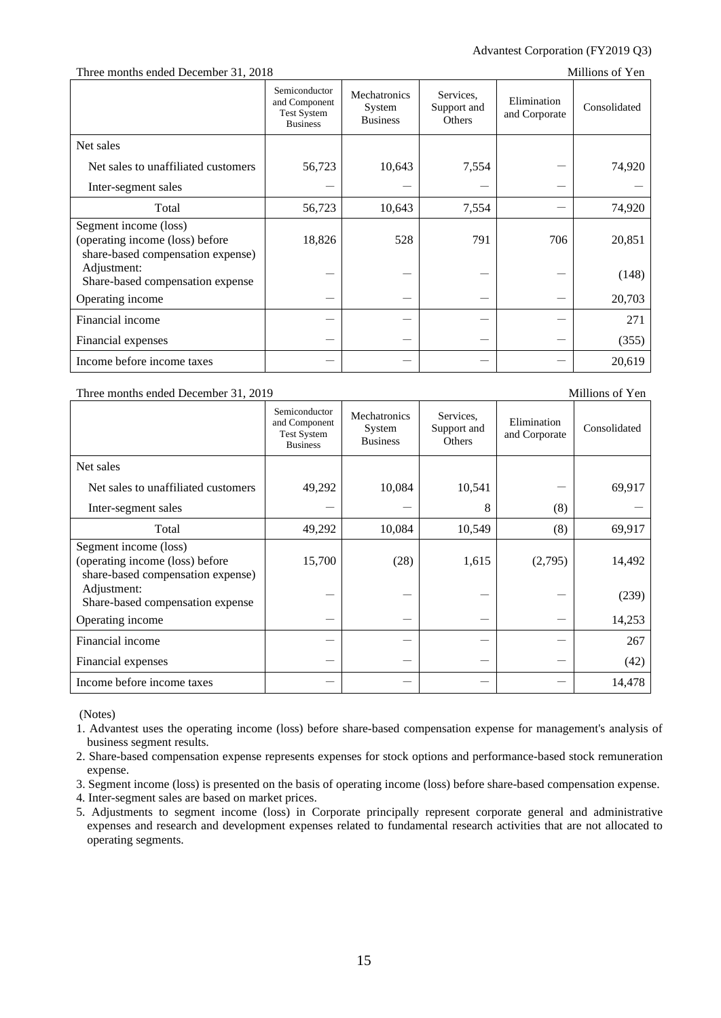### Advantest Corporation (FY2019 Q3)

### Three months ended December 31, 2018 Millions of Yen

|                                                                                               | Semiconductor<br>and Component<br><b>Test System</b><br><b>Business</b> | Mechatronics<br>System<br><b>Business</b> | Services.<br>Support and<br>Others | Elimination<br>and Corporate | Consolidated |
|-----------------------------------------------------------------------------------------------|-------------------------------------------------------------------------|-------------------------------------------|------------------------------------|------------------------------|--------------|
| Net sales                                                                                     |                                                                         |                                           |                                    |                              |              |
| Net sales to unaffiliated customers                                                           | 56,723                                                                  | 10,643                                    | 7,554                              |                              | 74,920       |
| Inter-segment sales                                                                           |                                                                         |                                           |                                    |                              |              |
| Total                                                                                         | 56,723                                                                  | 10,643                                    | 7,554                              |                              | 74,920       |
| Segment income (loss)<br>(operating income (loss) before<br>share-based compensation expense) | 18,826                                                                  | 528                                       | 791                                | 706                          | 20,851       |
| Adjustment:<br>Share-based compensation expense                                               |                                                                         |                                           |                                    |                              | (148)        |
| Operating income                                                                              |                                                                         |                                           |                                    |                              | 20,703       |
| Financial income                                                                              |                                                                         |                                           |                                    |                              | 271          |
| Financial expenses                                                                            |                                                                         |                                           |                                    |                              | (355)        |
| Income before income taxes                                                                    |                                                                         |                                           |                                    |                              | 20,619       |

#### Three months ended December 31, 2019 Millions of Yen

Semiconductor and Component Test System Business Mechatronics System Business Services, Support and **Others** Elimination Elimination<br>and Corporate Consolidated Net sales Net sales to unaffiliated customers  $\begin{vmatrix} 49,292 & 10,084 & 10,541 & -1 & 69,917 \end{vmatrix}$ Inter-segment sales  $-$  8 (8) Total 10,084 10,549 (8) 69,917 Segment income (loss) (operating income (loss) before share-based compensation expense) 15,700 (28) 1,615 (2,795) 14,492 Adjustment:  $S<sub>bare</sub>$ -based compensation expense  $(239)$ Operating income  $14.253$ Financial income - - - - 267 Financial expenses  $(42)$ Income before income taxes  $14.478$ 

(Notes)

1. Advantest uses the operating income (loss) before share-based compensation expense for management's analysis of business segment results.

2. Share-based compensation expense represents expenses for stock options and performance-based stock remuneration expense.

3. Segment income (loss) is presented on the basis of operating income (loss) before share-based compensation expense.

4. Inter-segment sales are based on market prices.

5. Adjustments to segment income (loss) in Corporate principally represent corporate general and administrative expenses and research and development expenses related to fundamental research activities that are not allocated to operating segments.